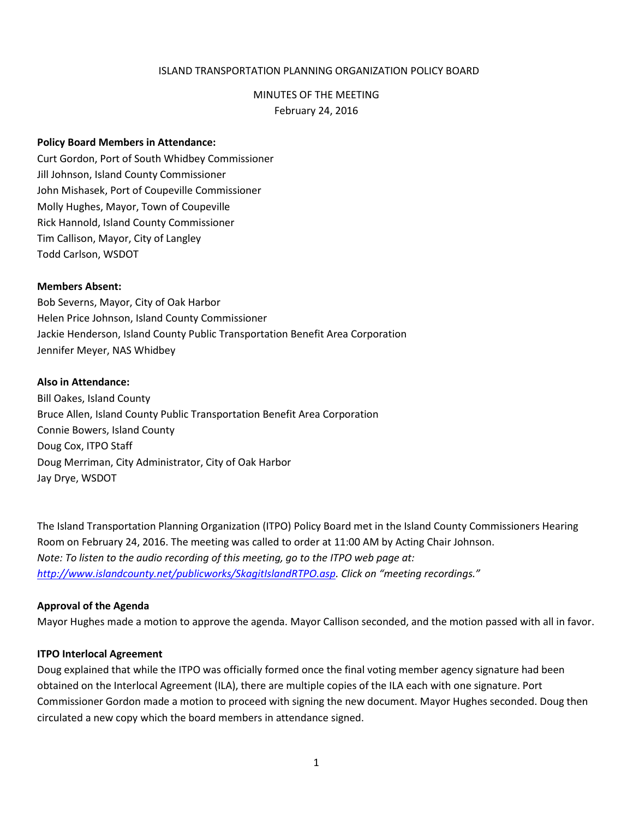# ISLAND TRANSPORTATION PLANNING ORGANIZATION POLICY BOARD

## MINUTES OF THE MEETING

February 24, 2016

## **Policy Board Members in Attendance:**

Curt Gordon, Port of South Whidbey Commissioner Jill Johnson, Island County Commissioner John Mishasek, Port of Coupeville Commissioner Molly Hughes, Mayor, Town of Coupeville Rick Hannold, Island County Commissioner Tim Callison, Mayor, City of Langley Todd Carlson, WSDOT

#### **Members Absent:**

Bob Severns, Mayor, City of Oak Harbor Helen Price Johnson, Island County Commissioner Jackie Henderson, Island County Public Transportation Benefit Area Corporation Jennifer Meyer, NAS Whidbey

## **Also in Attendance:**

Bill Oakes, Island County Bruce Allen, Island County Public Transportation Benefit Area Corporation Connie Bowers, Island County Doug Cox, ITPO Staff Doug Merriman, City Administrator, City of Oak Harbor Jay Drye, WSDOT

The Island Transportation Planning Organization (ITPO) Policy Board met in the Island County Commissioners Hearing Room on February 24, 2016. The meeting was called to order at 11:00 AM by Acting Chair Johnson. *Note: To listen to the audio recording of this meeting, go to the ITPO web page at: <http://www.islandcounty.net/publicworks/SkagitIslandRTPO.asp>. Click on "meeting recordings."*

#### **Approval of the Agenda**

Mayor Hughes made a motion to approve the agenda. Mayor Callison seconded, and the motion passed with all in favor.

## **ITPO Interlocal Agreement**

Doug explained that while the ITPO was officially formed once the final voting member agency signature had been obtained on the Interlocal Agreement (ILA), there are multiple copies of the ILA each with one signature. Port Commissioner Gordon made a motion to proceed with signing the new document. Mayor Hughes seconded. Doug then circulated a new copy which the board members in attendance signed.